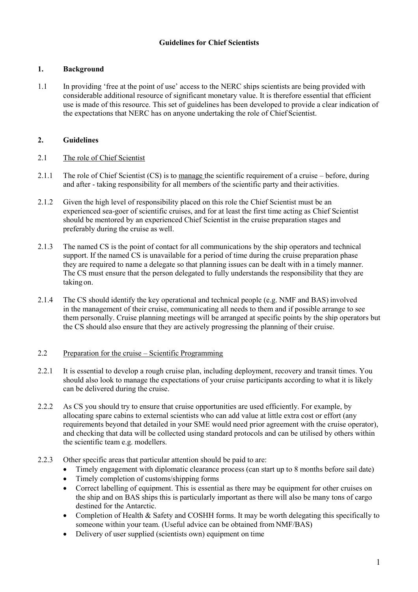# **1. Background**

1.1 In providing 'free at the point of use' access to the NERC ships scientists are being provided with considerable additional resource of significant monetary value. It is therefore essential that efficient use is made of this resource. This set of guidelines has been developed to provide a clear indication of the expectations that NERC has on anyone undertaking the role of Chief Scientist.

# **2. Guidelines**

### 2.1 The role of Chief Scientist

- 2.1.1 The role of Chief Scientist (CS) is to manage the scientific requirement of a cruise before, during and after - taking responsibility for all members of the scientific party and their activities.
- 2.1.2 Given the high level of responsibility placed on this role the Chief Scientist must be an experienced sea-goer of scientific cruises, and for at least the first time acting as Chief Scientist should be mentored by an experienced Chief Scientist in the cruise preparation stages and preferably during the cruise as well.
- 2.1.3 The named CS is the point of contact for all communications by the ship operators and technical support. If the named CS is unavailable for a period of time during the cruise preparation phase they are required to name a delegate so that planning issues can be dealt with in a timely manner. The CS must ensure that the person delegated to fully understands the responsibility that they are taking on.
- 2.1.4 The CS should identify the key operational and technical people (e.g. NMF and BAS) involved in the management of their cruise, communicating all needs to them and if possible arrange to see them personally. Cruise planning meetings will be arranged at specific points by the ship operators but the CS should also ensure that they are actively progressing the planning of their cruise.

### 2.2 Preparation for the cruise – Scientific Programming

- 2.2.1 It is essential to develop a rough cruise plan, including deployment, recovery and transit times. You should also look to manage the expectations of your cruise participants according to what it is likely can be delivered during the cruise.
- 2.2.2 As CS you should try to ensure that cruise opportunities are used efficiently. For example, by allocating spare cabins to external scientists who can add value at little extra cost or effort (any requirements beyond that detailed in your SME would need prior agreement with the cruise operator), and checking that data will be collected using standard protocols and can be utilised by others within the scientific team e.g. modellers.
- 2.2.3 Other specific areas that particular attention should be paid to are:
	- Timely engagement with diplomatic clearance process (can start up to 8 months before sail date)
	- Timely completion of customs/shipping forms
	- Correct labelling of equipment. This is essential as there may be equipment for other cruises on the ship and on BAS ships this is particularly important as there will also be many tons of cargo destined for the Antarctic.
	- Completion of Health & Safety and COSHH forms. It may be worth delegating this specifically to someone within your team. (Useful advice can be obtained from NMF/BAS)
	- Delivery of user supplied (scientists own) equipment on time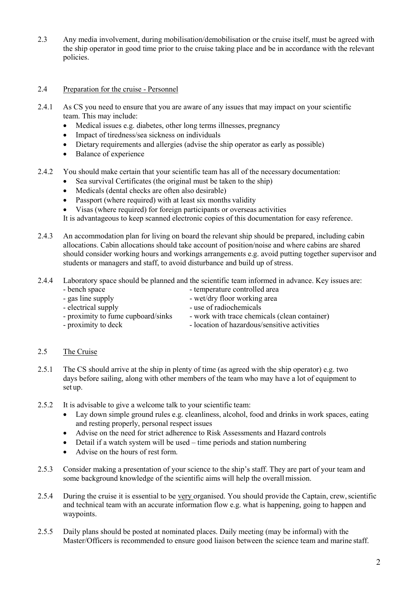2.3 Any media involvement, during mobilisation/demobilisation or the cruise itself, must be agreed with the ship operator in good time prior to the cruise taking place and be in accordance with the relevant policies.

## 2.4 Preparation for the cruise - Personnel

- 2.4.1 As CS you need to ensure that you are aware of any issues that may impact on your scientific team. This may include:
	- Medical issues e.g. diabetes, other long terms illnesses, pregnancy
	- Impact of tiredness/sea sickness on individuals
	- Dietary requirements and allergies (advise the ship operator as early as possible)
	- Balance of experience
- 2.4.2 You should make certain that your scientific team has all of the necessary documentation:
	- Sea survival Certificates (the original must be taken to the ship)
	- Medicals (dental checks are often also desirable)
	- Passport (where required) with at least six months validity
	- Visas (where required) for foreign participants or overseas activities
	- It is advantageous to keep scanned electronic copies of this documentation for easy reference.
- 2.4.3 An accommodation plan for living on board the relevant ship should be prepared, including cabin allocations. Cabin allocations should take account of position/noise and where cabins are shared should consider working hours and workings arrangements e.g. avoid putting together supervisor and students or managers and staff, to avoid disturbance and build up of stress.
- 2.4.4 Laboratory space should be planned and the scientific team informed in advance. Key issues are:
	-
	- bench space expansion of temperature controlled area
	-
	- gas line supply<br>
	wet/dry floor working area<br>
	electrical supply<br>
	use of radiochemicals
	-
- work with trace chemicals (clean container)
- electrical supply<br>
proximity to fume cupboard/sinks<br>
work with trace chemi
- proximity to deck location of hazardous/sensitive activities

### 2.5 The Cruise

- 2.5.1 The CS should arrive at the ship in plenty of time (as agreed with the ship operator) e.g. two days before sailing, along with other members of the team who may have a lot of equipment to set up.
- 2.5.2 It is advisable to give a welcome talk to your scientific team:
	- Lay down simple ground rules e.g. cleanliness, alcohol, food and drinks in work spaces, eating and resting properly, personal respect issues
	- Advise on the need for strict adherence to Risk Assessments and Hazard controls
	- Detail if a watch system will be used time periods and station numbering
	- Advise on the hours of rest form.
- 2.5.3 Consider making a presentation of your science to the ship's staff. They are part of your team and some background knowledge of the scientific aims will help the overall mission.
- 2.5.4 During the cruise it is essential to be very organised. You should provide the Captain, crew, scientific and technical team with an accurate information flow e.g. what is happening, going to happen and waypoints.
- 2.5.5 Daily plans should be posted at nominated places. Daily meeting (may be informal) with the Master/Officers is recommended to ensure good liaison between the science team and marine staff.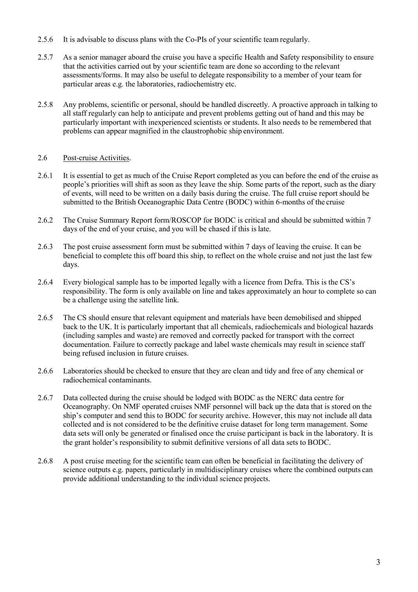- 2.5.6 It is advisable to discuss plans with the Co-PIs of your scientific team regularly.
- 2.5.7 As a senior manager aboard the cruise you have a specific Health and Safety responsibility to ensure that the activities carried out by your scientific team are done so according to the relevant assessments/forms. It may also be useful to delegate responsibility to a member of your team for particular areas e.g. the laboratories, radiochemistry etc.
- 2.5.8 Any problems, scientific or personal, should be handled discreetly. A proactive approach in talking to all staff regularly can help to anticipate and prevent problems getting out of hand and this may be particularly important with inexperienced scientists or students. It also needs to be remembered that problems can appear magnified in the claustrophobic ship environment.

# 2.6 Post-cruise Activities.

- 2.6.1 It is essential to get as much of the Cruise Report completed as you can before the end of the cruise as people's priorities will shift as soon as they leave the ship. Some parts of the report, such as the diary of events, will need to be written on a daily basis during the cruise. The full cruise report should be submitted to the British Oceanographic Data Centre (BODC) within 6-months of the cruise
- 2.6.2 The Cruise Summary Report form/ROSCOP for BODC is critical and should be submitted within 7 days of the end of your cruise, and you will be chased if this is late.
- 2.6.3 The post cruise assessment form must be submitted within 7 days of leaving the cruise. It can be beneficial to complete this off board this ship, to reflect on the whole cruise and not just the last few days.
- 2.6.4 Every biological sample has to be imported legally with a licence from Defra. This is the CS's responsibility. The form is only available on line and takes approximately an hour to complete so can be a challenge using the satellite link.
- 2.6.5 The CS should ensure that relevant equipment and materials have been demobilised and shipped back to the UK. It is particularly important that all chemicals, radiochemicals and biological hazards (including samples and waste) are removed and correctly packed for transport with the correct documentation. Failure to correctly package and label waste chemicals may result in science staff being refused inclusion in future cruises.
- 2.6.6 Laboratories should be checked to ensure that they are clean and tidy and free of any chemical or radiochemical contaminants.
- 2.6.7 Data collected during the cruise should be lodged with BODC as the NERC data centre for Oceanography. On NMF operated cruises NMF personnel will back up the data that is stored on the ship's computer and send this to BODC for security archive. However, this may not include all data collected and is not considered to be the definitive cruise dataset for long term management. Some data sets will only be generated or finalised once the cruise participant is back in the laboratory. It is the grant holder's responsibility to submit definitive versions of all data sets to BODC.
- 2.6.8 A post cruise meeting for the scientific team can often be beneficial in facilitating the delivery of science outputs e.g. papers, particularly in multidisciplinary cruises where the combined outputs can provide additional understanding to the individual science projects.